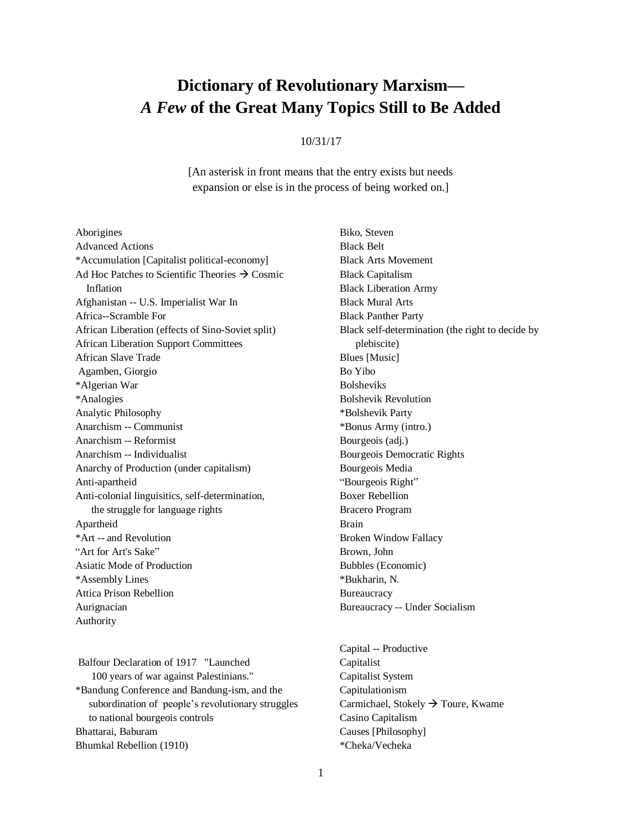## **Dictionary of Revolutionary Marxism—** *A Few* **of the Great Many Topics Still to Be Added**

## 10/31/17

[An asterisk in front means that the entry exists but needs expansion or else is in the process of being worked on.]

Aborigines Advanced Actions \*Accumulation [Capitalist political-economy] Ad Hoc Patches to Scientific Theories  $\rightarrow$  Cosmic Inflation Afghanistan -- U.S. Imperialist War In Africa--Scramble For African Liberation (effects of Sino-Soviet split) African Liberation Support Committees African Slave Trade Agamben, Giorgio \*Algerian War \*Analogies Analytic Philosophy Anarchism -- Communist Anarchism -- Reformist Anarchism -- Individualist Anarchy of Production (under capitalism) Anti-apartheid Anti-colonial linguisitics, self-determination, the struggle for language rights Apartheid \*Art -- and Revolution "Art for Art's Sake" Asiatic Mode of Production \*Assembly Lines Attica Prison Rebellion Aurignacian Authority

Balfour Declaration of 1917 "Launched 100 years of war against Palestinians." \*Bandung Conference and Bandung-ism, and the subordination of people's revolutionary struggles to national bourgeois controls Bhattarai, Baburam Bhumkal Rebellion (1910)

Biko, Steven Black Belt Black Arts Movement Black Capitalism Black Liberation Army Black Mural Arts Black Panther Party Black self-determination (the right to decide by plebiscite) Blues [Music] Bo Yibo Bolsheviks Bolshevik Revolution \*Bolshevik Party \*Bonus Army (intro.) Bourgeois (adj.) Bourgeois Democratic Rights Bourgeois Media "Bourgeois Right" Boxer Rebellion Bracero Program Brain Broken Window Fallacy Brown, John Bubbles (Economic) \*Bukharin, N. **Bureaucracy** 

Capital -- Productive Capitalist Capitalist System Capitulationism Carmichael, Stokely  $\rightarrow$  Toure, Kwame Casino Capitalism Causes [Philosophy] \*Cheka/Vecheka

Bureaucracy -- Under Socialism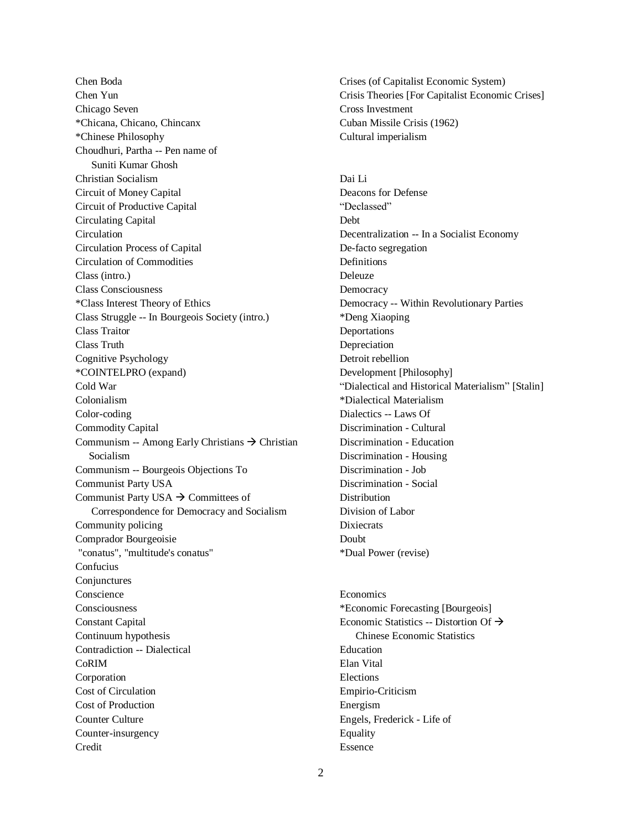Chen Boda Chen Yun Chicago Seven \*Chicana, Chicano, Chincanx \*Chinese Philosophy Choudhuri, Partha -- Pen name of Suniti Kumar Ghosh Christian Socialism Circuit of Money Capital Circuit of Productive Capital Circulating Capital Circulation Circulation Process of Capital Circulation of Commodities Class (intro.) Class Consciousness \*Class Interest Theory of Ethics Class Struggle -- In Bourgeois Society (intro.) Class Traitor Class Truth Cognitive Psychology \*COINTELPRO (expand) Cold War Colonialism Color-coding Commodity Capital Communism -- Among Early Christians  $\rightarrow$  Christian Socialism Communism -- Bourgeois Objections To Communist Party USA Communist Party USA  $\rightarrow$  Committees of Correspondence for Democracy and Socialism Community policing Comprador Bourgeoisie "conatus", "multitude's conatus" Confucius **Conjunctures** Conscience Consciousness Constant Capital Continuum hypothesis Contradiction -- Dialectical CoRIM Corporation Cost of Circulation Cost of Production Counter Culture Counter-insurgency Credit

Crises (of Capitalist Economic System) Crisis Theories [For Capitalist Economic Crises] Cross Investment Cuban Missile Crisis (1962) Cultural imperialism

Dai Li Deacons for Defense "Declassed" Debt Decentralization -- In a Socialist Economy De-facto segregation **Definitions** Deleuze **Democracy** Democracy -- Within Revolutionary Parties \*Deng Xiaoping Deportations Depreciation Detroit rebellion Development [Philosophy] "Dialectical and Historical Materialism" [Stalin] \*Dialectical Materialism Dialectics -- Laws Of Discrimination - Cultural Discrimination - Education Discrimination - Housing Discrimination - Job Discrimination - Social **Distribution** Division of Labor **Dixiecrats** Doubt \*Dual Power (revise)

Economics \*Economic Forecasting [Bourgeois] Economic Statistics -- Distortion Of  $\rightarrow$  Chinese Economic Statistics Education Elan Vital Elections Empirio-Criticism Energism Engels, Frederick - Life of **Equality** Essence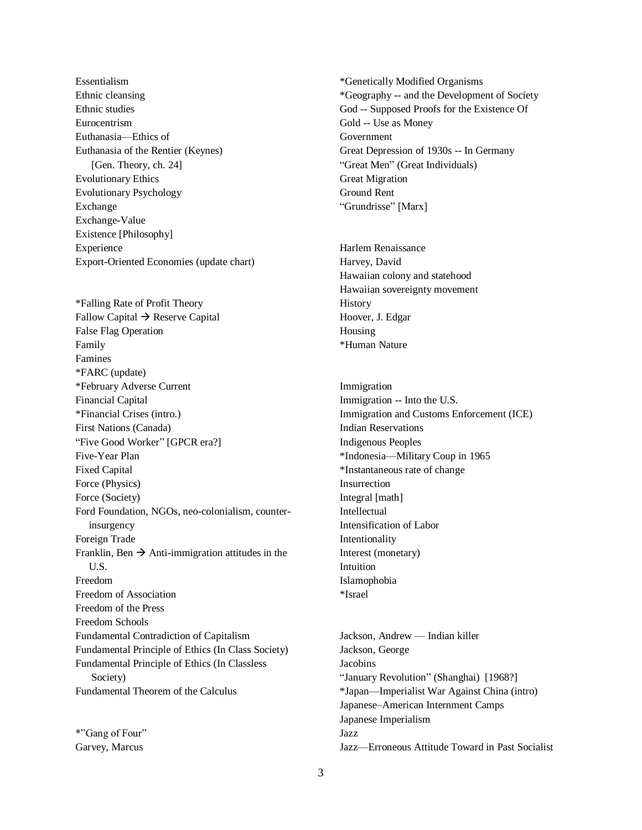Essentialism Ethnic cleansing Ethnic studies Eurocentrism Euthanasia—Ethics of Euthanasia of the Rentier (Keynes) [Gen. Theory, ch. 24] Evolutionary Ethics Evolutionary Psychology Exchange Exchange-Value Existence [Philosophy] Experience Export-Oriented Economies (update chart)

\*Falling Rate of Profit Theory Fallow Capital  $\rightarrow$  Reserve Capital False Flag Operation Family Famines \*FARC (update) \*February Adverse Current Financial Capital \*Financial Crises (intro.) First Nations (Canada) "Five Good Worker" [GPCR era?] Five-Year Plan Fixed Capital Force (Physics) Force (Society) Ford Foundation, NGOs, neo-colonialism, counter insurgency Foreign Trade Franklin, Ben  $\rightarrow$  Anti-immigration attitudes in the U.S. Freedom Freedom of Association Freedom of the Press Freedom Schools Fundamental Contradiction of Capitalism Fundamental Principle of Ethics (In Class Society) Fundamental Principle of Ethics (In Classless Society) Fundamental Theorem of the Calculus

\*"Gang of Four" Garvey, Marcus

\*Genetically Modified Organisms \*Geography -- and the Development of Society God -- Supposed Proofs for the Existence Of Gold -- Use as Money Government Great Depression of 1930s -- In Germany "Great Men" (Great Individuals) Great Migration Ground Rent "Grundrisse" [Marx]

Harlem Renaissance Harvey, David Hawaiian colony and statehood Hawaiian sovereignty movement **History** Hoover, J. Edgar Housing \*Human Nature

Immigration Immigration -- Into the U.S. Immigration and Customs Enforcement (ICE) Indian Reservations Indigenous Peoples \*Indonesia—Military Coup in 1965 \*Instantaneous rate of change Insurrection Integral [math] Intellectual Intensification of Labor Intentionality Interest (monetary) Intuition Islamophobia \*Israel

Jackson, Andrew — Indian killer Jackson, George **Jacobins** "January Revolution" (Shanghai) [1968?] \*Japan—Imperialist War Against China (intro) Japanese–American Internment Camps Japanese Imperialism Jazz Jazz—Erroneous Attitude Toward in Past Socialist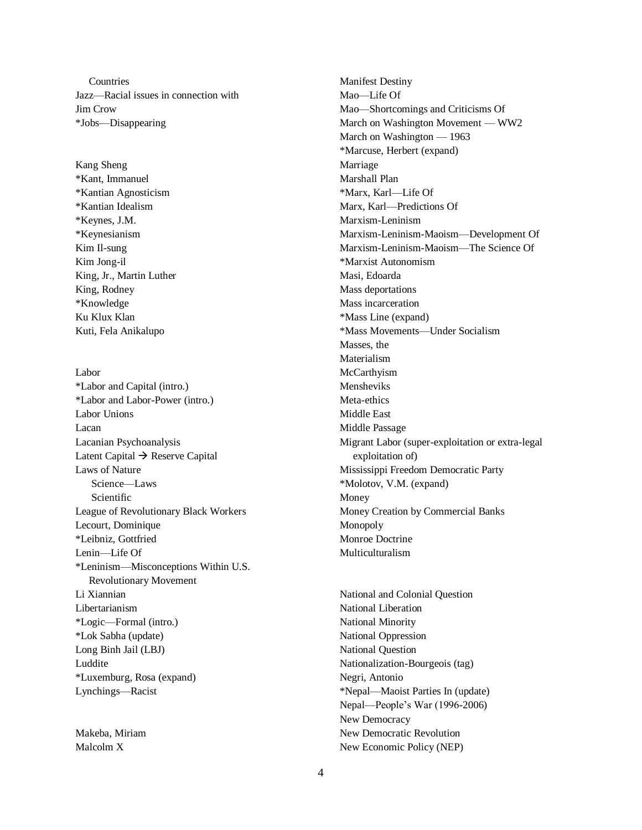**Countries** Jazz—Racial issues in connection with Jim Crow \*Jobs—Disappearing

Kang Sheng \*Kant, Immanuel \*Kantian Agnosticism \*Kantian Idealism \*Keynes, J.M. \*Keynesianism Kim Il-sung Kim Jong-il King, Jr., Martin Luther King, Rodney \*Knowledge Ku Klux Klan Kuti, Fela Anikalupo

Labor \*Labor and Capital (intro.) \*Labor and Labor-Power (intro.) Labor Unions Lacan Lacanian Psychoanalysis Latent Capital  $\rightarrow$  Reserve Capital Laws of Nature Science—Laws Scientific League of Revolutionary Black Workers Lecourt, Dominique \*Leibniz, Gottfried Lenin—Life Of \*Leninism—Misconceptions Within U.S. Revolutionary Movement Li Xiannian Libertarianism \*Logic—Formal (intro.) \*Lok Sabha (update) Long Binh Jail (LBJ) Luddite \*Luxemburg, Rosa (expand) Lynchings—Racist

Makeba, Miriam Malcolm X

Manifest Destiny Mao—Life Of Mao—Shortcomings and Criticisms Of March on Washington Movement — WW2 March on Washington — 1963 \*Marcuse, Herbert (expand) Marriage Marshall Plan \*Marx, Karl—Life Of Marx, Karl—Predictions Of Marxism-Leninism Marxism-Leninism-Maoism—Development Of Marxism-Leninism-Maoism—The Science Of \*Marxist Autonomism Masi, Edoarda Mass deportations Mass incarceration \*Mass Line (expand) \*Mass Movements—Under Socialism Masses, the Materialism McCarthyism Mensheviks Meta-ethics Middle East Middle Passage Migrant Labor (super-exploitation or extra-legal exploitation of) Mississippi Freedom Democratic Party \*Molotov, V.M. (expand) Money Money Creation by Commercial Banks Monopoly Monroe Doctrine Multiculturalism

National and Colonial Question National Liberation National Minority National Oppression National Question Nationalization-Bourgeois (tag) Negri, Antonio \*Nepal—Maoist Parties In (update) Nepal—People's War (1996-2006) New Democracy New Democratic Revolution New Economic Policy (NEP)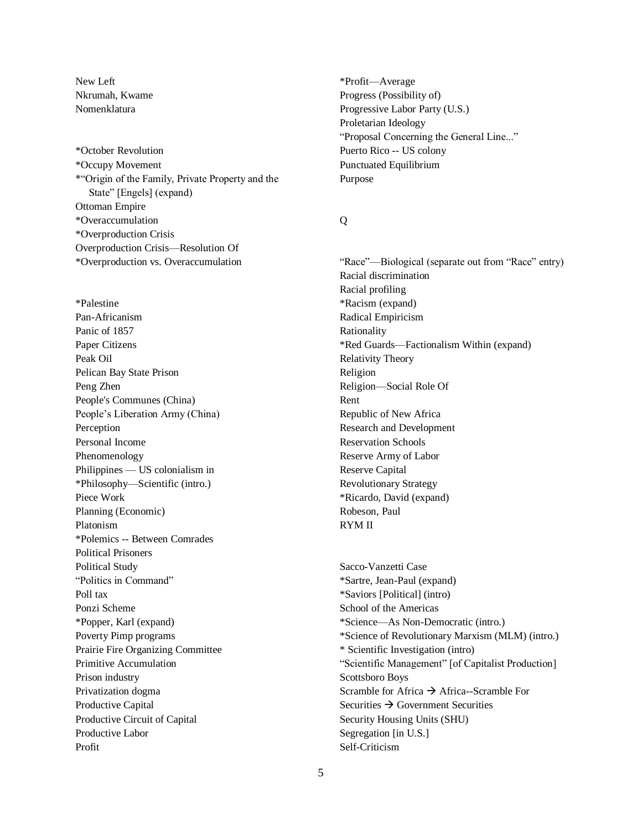New Left Nkrumah, Kwame Nomenklatura

\*October Revolution \*Occupy Movement \*"Origin of the Family, Private Property and the State" [Engels] (expand) Ottoman Empire \*Overaccumulation \*Overproduction Crisis Overproduction Crisis—Resolution Of \*Overproduction vs. Overaccumulation

\*Palestine Pan-Africanism Panic of 1857 Paper Citizens Peak Oil Pelican Bay State Prison Peng Zhen People's Communes (China) People's Liberation Army (China) Perception Personal Income Phenomenology Philippines — US colonialism in \*Philosophy—Scientific (intro.) Piece Work Planning (Economic) Platonism \*Polemics -- Between Comrades Political Prisoners Political Study "Politics in Command" Poll tax Ponzi Scheme \*Popper, Karl (expand) Poverty Pimp programs Prairie Fire Organizing Committee Primitive Accumulation Prison industry Privatization dogma Productive Capital Productive Circuit of Capital Productive Labor Profit

\*Profit—Average Progress (Possibility of) Progressive Labor Party (U.S.) Proletarian Ideology "Proposal Concerning the General Line..." Puerto Rico -- US colony Punctuated Equilibrium Purpose

Q

"Race"—Biological (separate out from "Race" entry) Racial discrimination Racial profiling \*Racism (expand) Radical Empiricism Rationality \*Red Guards—Factionalism Within (expand) Relativity Theory Religion Religion—Social Role Of Rent Republic of New Africa Research and Development Reservation Schools Reserve Army of Labor Reserve Capital Revolutionary Strategy \*Ricardo, David (expand) Robeson, Paul RYM II

Sacco-Vanzetti Case \*Sartre, Jean-Paul (expand) \*Saviors [Political] (intro) School of the Americas \*Science—As Non-Democratic (intro.) \*Science of Revolutionary Marxism (MLM) (intro.) \* Scientific Investigation (intro) "Scientific Management" [of Capitalist Production] Scottsboro Boys Scramble for Africa  $\rightarrow$  Africa--Scramble For Securities  $\rightarrow$  Government Securities Security Housing Units (SHU) Segregation [in U.S.] Self-Criticism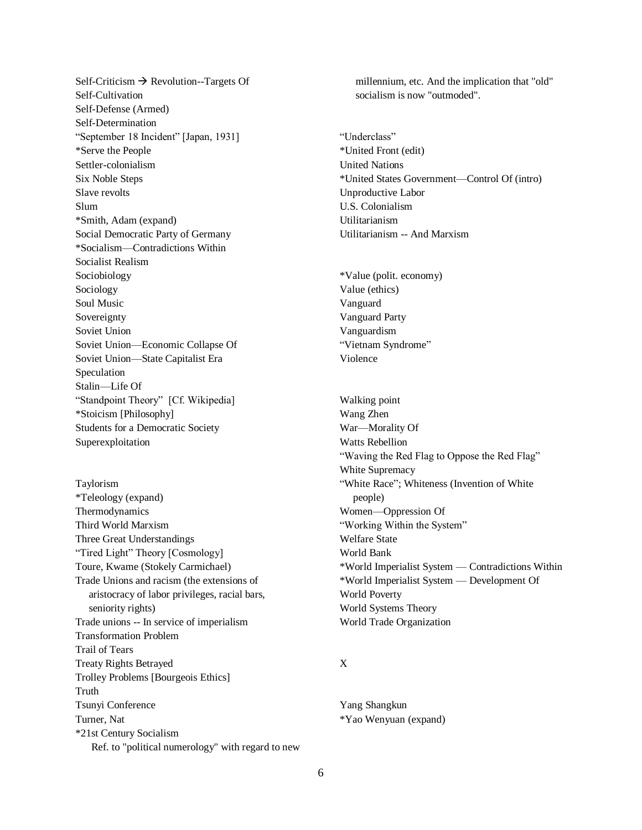Self-Criticism  $\rightarrow$  Revolution--Targets Of Self-Cultivation Self-Defense (Armed) Self-Determination "September 18 Incident" [Japan, 1931] \*Serve the People Settler-colonialism Six Noble Steps Slave revolts Slum \*Smith, Adam (expand) Social Democratic Party of Germany \*Socialism—Contradictions Within Socialist Realism Sociobiology Sociology Soul Music Sovereignty Soviet Union Soviet Union—Economic Collapse Of Soviet Union—State Capitalist Era Speculation Stalin—Life Of "Standpoint Theory" [Cf. Wikipedia] \*Stoicism [Philosophy] Students for a Democratic Society Superexploitation

Taylorism \*Teleology (expand) Thermodynamics Third World Marxism Three Great Understandings "Tired Light" Theory [Cosmology] Toure, Kwame (Stokely Carmichael) Trade Unions and racism (the extensions of aristocracy of labor privileges, racial bars, seniority rights) Trade unions -- In service of imperialism Transformation Problem Trail of Tears Treaty Rights Betrayed Trolley Problems [Bourgeois Ethics] Truth Tsunyi Conference Turner, Nat \*21st Century Socialism Ref. to "political numerology" with regard to new  millennium, etc. And the implication that "old" socialism is now "outmoded".

"Underclass" \*United Front (edit) United Nations \*United States Government—Control Of (intro) Unproductive Labor U.S. Colonialism Utilitarianism Utilitarianism -- And Marxism

\*Value (polit. economy) Value (ethics) Vanguard Vanguard Party Vanguardism "Vietnam Syndrome" Violence

Walking point Wang Zhen War—Morality Of Watts Rebellion "Waving the Red Flag to Oppose the Red Flag" White Supremacy "White Race"; Whiteness (Invention of White people) Women—Oppression Of "Working Within the System" Welfare State World Bank \*World Imperialist System — Contradictions Within \*World Imperialist System — Development Of World Poverty World Systems Theory World Trade Organization

## X

Yang Shangkun \*Yao Wenyuan (expand)